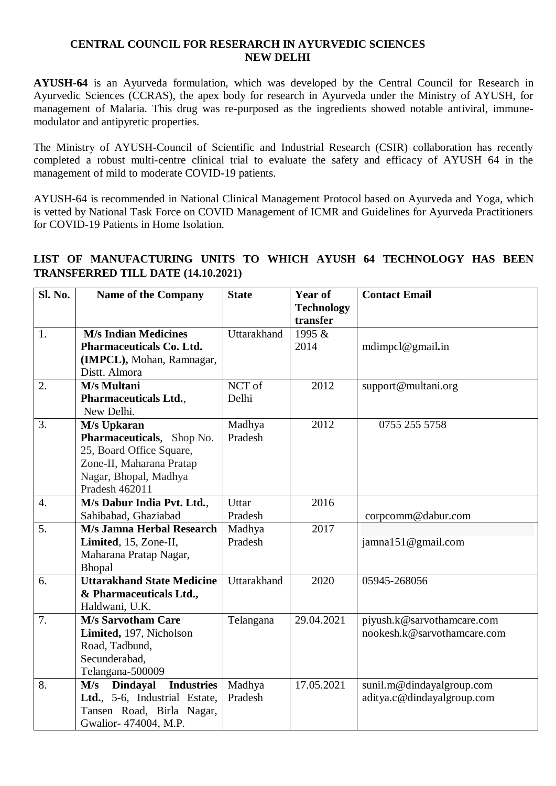## **CENTRAL COUNCIL FOR RESERARCH IN AYURVEDIC SCIENCES NEW DELHI**

**AYUSH-64** is an Ayurveda formulation, which was developed by the Central Council for Research in Ayurvedic Sciences (CCRAS), the apex body for research in Ayurveda under the Ministry of AYUSH, for management of Malaria. This drug was re-purposed as the ingredients showed notable antiviral, immunemodulator and antipyretic properties.

The Ministry of AYUSH-Council of Scientific and Industrial Research (CSIR) collaboration has recently completed a robust multi-centre clinical trial to evaluate the safety and efficacy of AYUSH 64 in the management of mild to moderate COVID-19 patients.

AYUSH-64 is recommended in National Clinical Management Protocol based on Ayurveda and Yoga, which is vetted by National Task Force on COVID Management of ICMR and Guidelines for Ayurveda Practitioners for COVID-19 Patients in Home Isolation.

## **Sl. No.** Name of the Company State Year of **Technology transfer Contact Email** 1. **M/s Indian Medicines Pharmaceuticals Co. Ltd. (IMPCL),** Mohan, Ramnagar, Distt. Almora Uttarakhand 1995  $\&$ 2014 mdimpcl@gmail**.**in 2. **M/s Multani Pharmaceuticals Ltd.**, New Delhi. NCT of Delhi 2012 support@multani.org 3. **M/s Upkaran Pharmaceuticals**, Shop No. 25, Board Office Square, Zone-II, Maharana Pratap Nagar, Bhopal, Madhya Pradesh 462011 Madhya Pradesh 2012 0755 255 5758 4. **M/s Dabur India Pvt. Ltd.**, Sahibabad, Ghaziabad **U**ttar Pradesh 2016 corpcomm@dabur.com 5. **M/s Jamna Herbal Research Limited**, 15, Zone-II, Maharana Pratap Nagar, Bhopal Madhya Pradesh 2017 jamna151@gmail.com 6. **Uttarakhand State Medicine & Pharmaceuticals Ltd.,** Haldwani, U.K. Uttarakhand 2020 05945-268056 7. **M/s Sarvotham Care Limited,** 197, Nicholson Road, Tadbund, Secunderabad, Telangana-500009 Telangana 29.04.2021 piyush.k@sarvothamcare.com nookesh.k@sarvothamcare.com 8. **M/s Dindayal Industries Ltd.**, 5-6, Industrial Estate, Tansen Road, Birla Nagar, Gwalior- 474004, M.P. Madhya Pradesh 17.05.2021 sunil.m@dindayalgroup.com aditya.c@dindayalgroup.com

## **LIST OF MANUFACTURING UNITS TO WHICH AYUSH 64 TECHNOLOGY HAS BEEN TRANSFERRED TILL DATE (14.10.2021)**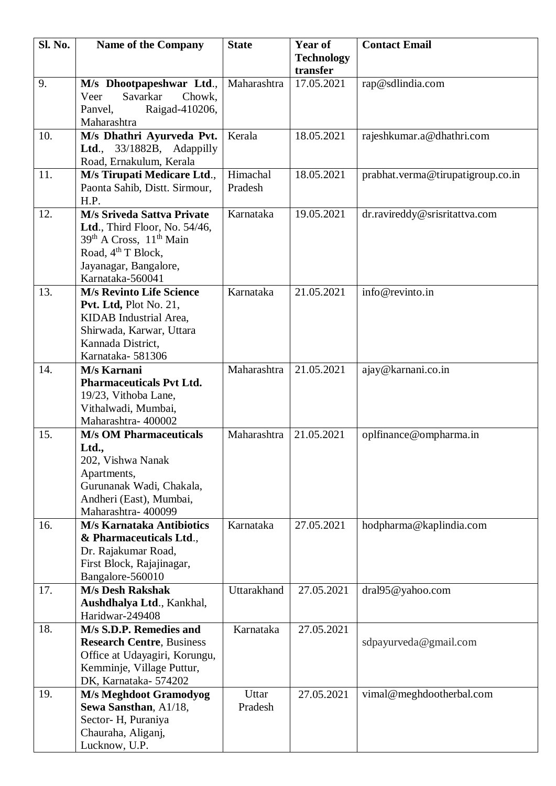| Sl. No. | <b>Name of the Company</b>                                                       | <b>State</b> | Year of           | <b>Contact Email</b>              |
|---------|----------------------------------------------------------------------------------|--------------|-------------------|-----------------------------------|
|         |                                                                                  |              | <b>Technology</b> |                                   |
|         |                                                                                  |              | transfer          |                                   |
| 9.      | M/s Dhootpapeshwar Ltd.,<br>Savarkar<br>Veer<br>Chowk,                           | Maharashtra  | 17.05.2021        | rap@sdlindia.com                  |
|         | Raigad-410206,<br>Panvel,                                                        |              |                   |                                   |
|         | Maharashtra                                                                      |              |                   |                                   |
| 10.     | M/s Dhathri Ayurveda Pvt.                                                        | Kerala       | 18.05.2021        | rajeshkumar.a@dhathri.com         |
|         | Ltd., 33/1882B, Adappilly                                                        |              |                   |                                   |
|         | Road, Ernakulum, Kerala                                                          |              |                   |                                   |
| 11.     | M/s Tirupati Medicare Ltd.,                                                      | Himachal     | 18.05.2021        | prabhat.verma@tirupatigroup.co.in |
|         | Paonta Sahib, Distt. Sirmour,                                                    | Pradesh      |                   |                                   |
|         | H.P.                                                                             |              |                   |                                   |
| 12.     | <b>M/s Sriveda Sattva Private</b>                                                | Karnataka    | 19.05.2021        | dr.ravireddy@srisritattva.com     |
|         | Ltd., Third Floor, No. 54/46,<br>39 <sup>th</sup> A Cross, 11 <sup>th</sup> Main |              |                   |                                   |
|         | Road, 4 <sup>th</sup> T Block,                                                   |              |                   |                                   |
|         | Jayanagar, Bangalore,                                                            |              |                   |                                   |
|         | Karnataka-560041                                                                 |              |                   |                                   |
| 13.     | <b>M/s Revinto Life Science</b>                                                  | Karnataka    | 21.05.2021        | info@revinto.in                   |
|         | Pvt. Ltd, Plot No. 21,                                                           |              |                   |                                   |
|         | KIDAB Industrial Area,                                                           |              |                   |                                   |
|         | Shirwada, Karwar, Uttara                                                         |              |                   |                                   |
|         | Kannada District,                                                                |              |                   |                                   |
| 14.     | Karnataka-581306<br>M/s Karnani                                                  | Maharashtra  | 21.05.2021        | ajay@karnani.co.in                |
|         | <b>Pharmaceuticals Pvt Ltd.</b>                                                  |              |                   |                                   |
|         | 19/23, Vithoba Lane,                                                             |              |                   |                                   |
|         | Vithalwadi, Mumbai,                                                              |              |                   |                                   |
|         | Maharashtra-400002                                                               |              |                   |                                   |
| 15.     | <b>M/s OM Pharmaceuticals</b>                                                    | Maharashtra  | 21.05.2021        | oplfinance@ompharma.in            |
|         | Ltd.,                                                                            |              |                   |                                   |
|         | 202, Vishwa Nanak                                                                |              |                   |                                   |
|         | Apartments,<br>Gurunanak Wadi, Chakala,                                          |              |                   |                                   |
|         | Andheri (East), Mumbai,                                                          |              |                   |                                   |
|         | Maharashtra- 400099                                                              |              |                   |                                   |
| 16.     | <b>M/s Karnataka Antibiotics</b>                                                 | Karnataka    | 27.05.2021        | hodpharma@kaplindia.com           |
|         | & Pharmaceuticals Ltd.,                                                          |              |                   |                                   |
|         | Dr. Rajakumar Road,                                                              |              |                   |                                   |
|         | First Block, Rajajinagar,                                                        |              |                   |                                   |
|         | Bangalore-560010                                                                 |              |                   |                                   |
| 17.     | <b>M/s Desh Rakshak</b>                                                          | Uttarakhand  | 27.05.2021        | dral95@yahoo.com                  |
|         | Aushdhalya Ltd., Kankhal,<br>Haridwar-249408                                     |              |                   |                                   |
| 18.     | M/s S.D.P. Remedies and                                                          | Karnataka    | 27.05.2021        |                                   |
|         | <b>Research Centre, Business</b>                                                 |              |                   | sdpayurveda@gmail.com             |
|         | Office at Udayagiri, Korungu,                                                    |              |                   |                                   |
|         | Kemminje, Village Puttur,                                                        |              |                   |                                   |
|         | DK, Karnataka-574202                                                             |              |                   |                                   |
| 19.     | M/s Meghdoot Gramodyog                                                           | Uttar        | 27.05.2021        | vimal@meghdootherbal.com          |
|         | Sewa Sansthan, A1/18,                                                            | Pradesh      |                   |                                   |
|         | Sector-H, Puraniya                                                               |              |                   |                                   |
|         | Chauraha, Aliganj,<br>Lucknow, U.P.                                              |              |                   |                                   |
|         |                                                                                  |              |                   |                                   |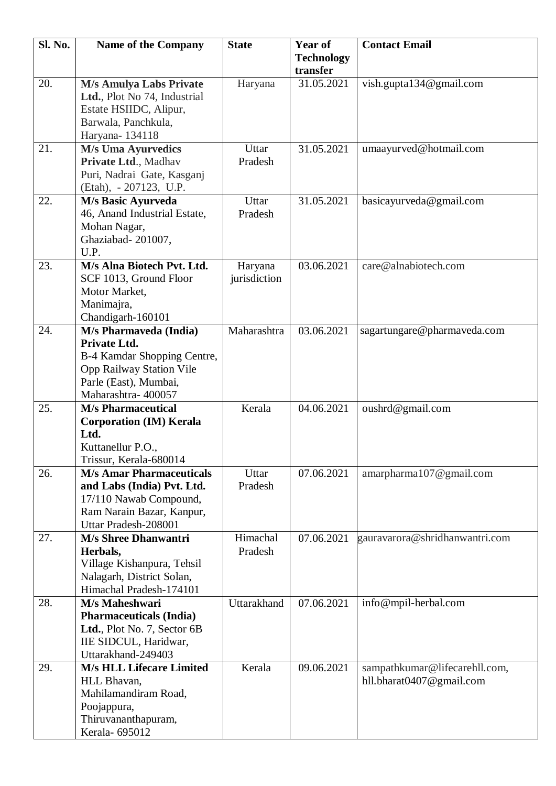| <b>Technology</b><br>transfer<br>20.<br><b>M/s Amulya Labs Private</b><br>vish.gupta134@gmail.com<br>31.05.2021<br>Haryana<br>Ltd., Plot No 74, Industrial |  |
|------------------------------------------------------------------------------------------------------------------------------------------------------------|--|
|                                                                                                                                                            |  |
|                                                                                                                                                            |  |
|                                                                                                                                                            |  |
|                                                                                                                                                            |  |
| Estate HSIIDC, Alipur,                                                                                                                                     |  |
| Barwala, Panchkula,                                                                                                                                        |  |
| Haryana-134118                                                                                                                                             |  |
| 31.05.2021<br>21.<br><b>M/s Uma Ayurvedics</b><br>Uttar<br>umaayurved@hotmail.com                                                                          |  |
| Private Ltd., Madhav<br>Pradesh                                                                                                                            |  |
| Puri, Nadrai Gate, Kasganj                                                                                                                                 |  |
| (Etah), - 207123, U.P.<br>22.                                                                                                                              |  |
| basicayurveda@gmail.com<br>M/s Basic Ayurveda<br>Uttar<br>31.05.2021<br>46, Anand Industrial Estate,<br>Pradesh                                            |  |
| Mohan Nagar,                                                                                                                                               |  |
| Ghaziabad-201007,                                                                                                                                          |  |
| U.P.                                                                                                                                                       |  |
| M/s Alna Biotech Pvt. Ltd.<br>03.06.2021<br>care@alnabiotech.com<br>23.<br>Haryana                                                                         |  |
| SCF 1013, Ground Floor<br>jurisdiction                                                                                                                     |  |
| Motor Market.                                                                                                                                              |  |
| Manimajra,                                                                                                                                                 |  |
| Chandigarh-160101                                                                                                                                          |  |
| 24.<br>Maharashtra<br>03.06.2021<br>M/s Pharmaveda (India)<br>sagartungare@pharmaveda.com                                                                  |  |
| Private Ltd.                                                                                                                                               |  |
| B-4 Kamdar Shopping Centre,                                                                                                                                |  |
| <b>Opp Railway Station Vile</b>                                                                                                                            |  |
| Parle (East), Mumbai,                                                                                                                                      |  |
| Maharashtra-400057                                                                                                                                         |  |
| 25.<br>Kerala<br>04.06.2021<br>oushrd@gmail.com<br><b>M/s Pharmaceutical</b>                                                                               |  |
| <b>Corporation (IM) Kerala</b>                                                                                                                             |  |
| Ltd.                                                                                                                                                       |  |
| Kuttanellur P.O.,<br>Trissur, Kerala-680014                                                                                                                |  |
| <b>M/s Amar Pharmaceuticals</b><br>07.06.2021<br>26.<br>Uttar<br>amarpharma107@gmail.com                                                                   |  |
| and Labs (India) Pvt. Ltd.<br>Pradesh                                                                                                                      |  |
| 17/110 Nawab Compound,                                                                                                                                     |  |
| Ram Narain Bazar, Kanpur,                                                                                                                                  |  |
| Uttar Pradesh-208001                                                                                                                                       |  |
| 27.<br>Himachal<br><b>M/s Shree Dhanwantri</b><br>07.06.2021<br>gauravarora@shridhanwantri.com                                                             |  |
| Pradesh<br>Herbals,                                                                                                                                        |  |
| Village Kishanpura, Tehsil                                                                                                                                 |  |
| Nalagarh, District Solan,                                                                                                                                  |  |
| Himachal Pradesh-174101                                                                                                                                    |  |
| 07.06.2021<br>28.<br>Uttarakhand<br>M/s Maheshwari<br>info@mpil-herbal.com                                                                                 |  |
| <b>Pharmaceuticals (India)</b>                                                                                                                             |  |
| Ltd., Plot No. 7, Sector 6B                                                                                                                                |  |
| IIE SIDCUL, Haridwar,                                                                                                                                      |  |
| Uttarakhand-249403                                                                                                                                         |  |
| <b>M/s HLL Lifecare Limited</b><br>09.06.2021<br>Kerala<br>sampathkumar@lifecarehll.com,<br>29.                                                            |  |
| HLL Bhavan,<br>hll.bharat0407@gmail.com                                                                                                                    |  |
| Mahilamandiram Road,                                                                                                                                       |  |
| Poojappura,<br>Thiruvananthapuram,                                                                                                                         |  |
| Kerala- 695012                                                                                                                                             |  |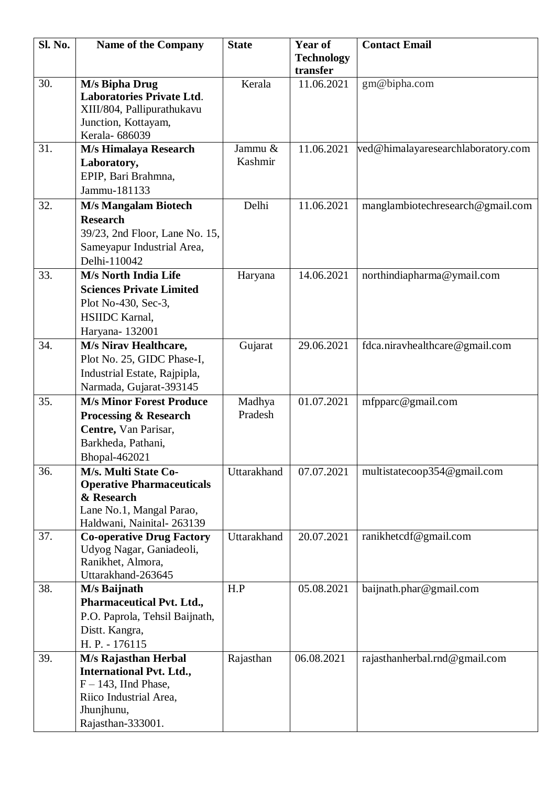| Sl. No. | <b>Name of the Company</b>                          | <b>State</b> | Year of                | <b>Contact Email</b>               |
|---------|-----------------------------------------------------|--------------|------------------------|------------------------------------|
|         |                                                     |              | <b>Technology</b>      |                                    |
| 30.     | M/s Bipha Drug                                      | Kerala       | transfer<br>11.06.2021 | gm@bipha.com                       |
|         | <b>Laboratories Private Ltd.</b>                    |              |                        |                                    |
|         | XIII/804, Pallipurathukavu                          |              |                        |                                    |
|         | Junction, Kottayam,                                 |              |                        |                                    |
|         | Kerala- 686039                                      |              |                        |                                    |
| 31.     | M/s Himalaya Research                               | Jammu &      | 11.06.2021             | ved@himalayaresearchlaboratory.com |
|         | Laboratory,                                         | Kashmir      |                        |                                    |
|         | EPIP, Bari Brahmna,                                 |              |                        |                                    |
|         | Jammu-181133                                        |              |                        |                                    |
| 32.     | <b>M/s Mangalam Biotech</b>                         | Delhi        | 11.06.2021             | manglambiotechresearch@gmail.com   |
|         | <b>Research</b>                                     |              |                        |                                    |
|         | 39/23, 2nd Floor, Lane No. 15,                      |              |                        |                                    |
|         | Sameyapur Industrial Area,                          |              |                        |                                    |
|         | Delhi-110042                                        |              |                        |                                    |
| 33.     | M/s North India Life                                | Haryana      | 14.06.2021             | northindiapharma@ymail.com         |
|         | <b>Sciences Private Limited</b>                     |              |                        |                                    |
|         | Plot No-430, Sec-3,                                 |              |                        |                                    |
|         | <b>HSIIDC</b> Karnal,                               |              |                        |                                    |
| 34.     | Haryana-132001                                      |              |                        |                                    |
|         | M/s Nirav Healthcare,<br>Plot No. 25, GIDC Phase-I, | Gujarat      | 29.06.2021             | fdca.niravhealthcare@gmail.com     |
|         | Industrial Estate, Rajpipla,                        |              |                        |                                    |
|         | Narmada, Gujarat-393145                             |              |                        |                                    |
| 35.     | <b>M/s Minor Forest Produce</b>                     | Madhya       | 01.07.2021             | mfpparc@gmail.com                  |
|         | <b>Processing &amp; Research</b>                    | Pradesh      |                        |                                    |
|         | Centre, Van Parisar,                                |              |                        |                                    |
|         | Barkheda, Pathani,                                  |              |                        |                                    |
|         | Bhopal-462021                                       |              |                        |                                    |
| 36.     | M/s. Multi State Co-                                | Uttarakhand  | 07.07.2021             | multistatecoop354@gmail.com        |
|         | <b>Operative Pharmaceuticals</b>                    |              |                        |                                    |
|         | & Research                                          |              |                        |                                    |
|         | Lane No.1, Mangal Parao,                            |              |                        |                                    |
|         | Haldwani, Nainital-263139                           |              |                        |                                    |
| 37.     | <b>Co-operative Drug Factory</b>                    | Uttarakhand  | 20.07.2021             | ranikhetcdf@gmail.com              |
|         | Udyog Nagar, Ganiadeoli,<br>Ranikhet, Almora,       |              |                        |                                    |
|         | Uttarakhand-263645                                  |              |                        |                                    |
| 38.     | M/s Baijnath                                        | H.P          | 05.08.2021             | baijnath.phar@gmail.com            |
|         | <b>Pharmaceutical Pvt. Ltd.,</b>                    |              |                        |                                    |
|         | P.O. Paprola, Tehsil Baijnath,                      |              |                        |                                    |
|         | Distt. Kangra,                                      |              |                        |                                    |
|         | H. P. - 176115                                      |              |                        |                                    |
| 39.     | M/s Rajasthan Herbal                                | Rajasthan    | 06.08.2021             | rajasthanherbal.rnd@gmail.com      |
|         | <b>International Pvt. Ltd.,</b>                     |              |                        |                                    |
|         | $F - 143$ , IInd Phase,                             |              |                        |                                    |
|         | Riico Industrial Area,                              |              |                        |                                    |
|         | Jhunjhunu,                                          |              |                        |                                    |
|         | Rajasthan-333001.                                   |              |                        |                                    |